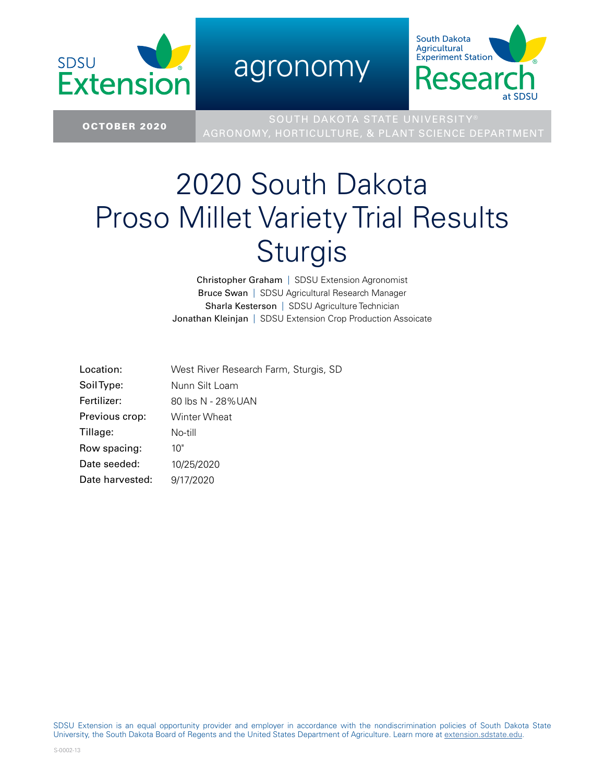

agronomy



SOUTH DAKOTA STATE UNIVERSITY<br>COLORER 2020 West Land Washington Turn 2 Status Colorer AGRONOMY, HORTICULTURE, & PLANT SCIENCE DEPARTMENT

## 2020 South Dakota Proso Millet Variety Trial Results Sturgis

Christopher Graham | SDSU Extension Agronomist Bruce Swan | SDSU Agricultural Research Manager Sharla Kesterson | SDSU Agriculture Technician Jonathan Kleinjan | SDSU Extension Crop Production Assoicate

| Location:       | West River Research Farm, Sturgis, SD |
|-----------------|---------------------------------------|
| Soil Type:      | Nunn Silt Loam                        |
| Fertilizer:     | 80 lbs N - 28%UAN                     |
| Previous crop:  | Winter Wheat                          |
| Tillage:        | No-till                               |
| Row spacing:    | 10"                                   |
| Date seeded:    | 10/25/2020                            |
| Date harvested: | 9/17/2020                             |

SDSU Extension is an equal opportunity provider and employer in accordance with the nondiscrimination policies of South Dakota State University, the South Dakota Board of Regents and the United States Department of Agriculture. Learn more at [extension.sdstate.edu.](http://extension.sdstate.edu)